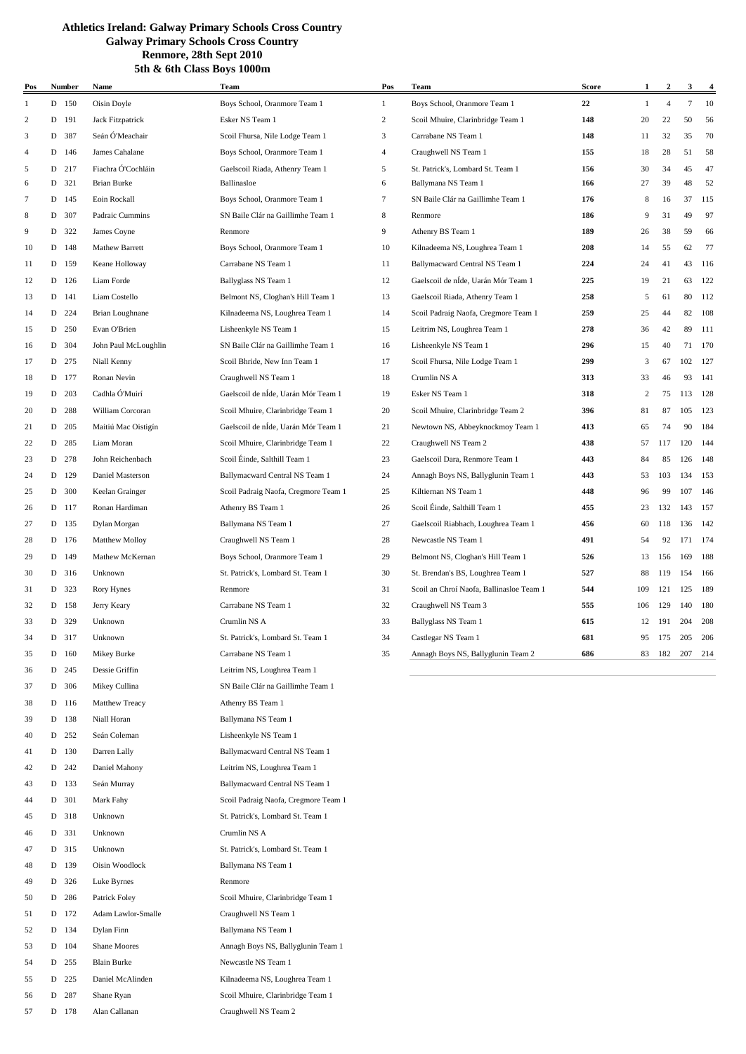| Pos            |   | <b>Number</b> | Name                              | Team                                 | Pos            | Team                                                                   | <b>Score</b> | 1              | $\overline{a}$ | 3      | $\overline{\mathbf{4}}$ |
|----------------|---|---------------|-----------------------------------|--------------------------------------|----------------|------------------------------------------------------------------------|--------------|----------------|----------------|--------|-------------------------|
| 1              |   | D 150         | Oisin Doyle                       | Boys School, Oranmore Team 1         | $\mathbf{1}$   | Boys School, Oranmore Team 1                                           | 22           | 1              | $\overline{4}$ | $\tau$ | 10                      |
| 2              | D | 191           | Jack Fitzpatrick                  | Esker NS Team 1                      | $\overline{c}$ | Scoil Mhuire, Clarinbridge Team 1                                      | 148          | 20             | 22             | 50     | 56                      |
| 3              | D | 387           | Seán Ó'Meachair                   | Scoil Fhursa, Nile Lodge Team 1      | 3              | Carrabane NS Team 1                                                    | 148          | 11             | 32             | 35     | 70                      |
| $\overline{4}$ | D | 146           | James Cahalane                    | Boys School, Oranmore Team 1         | 4              | Craughwell NS Team 1                                                   | 155          | 18             | 28             | 51     | 58                      |
| 5              | D | 217           | Fiachra Ó'Cochláin                | Gaelscoil Riada, Athenry Team 1      | 5              | St. Patrick's, Lombard St. Team 1                                      | 156          | 30             | 34             | 45     | 47                      |
| 6              | D | 321           | Brian Burke                       | Ballinasloe                          | 6              | Ballymana NS Team 1                                                    | 166          | 27             | 39             | 48     | 52                      |
| $\overline{7}$ | D | 145           | Eoin Rockall                      | Boys School, Oranmore Team 1         | 7              | SN Baile Clár na Gaillimhe Team 1                                      | 176          | 8              | 16             | 37     | 115                     |
| 8              | D | 307           | Padraic Cummins                   | SN Baile Clár na Gaillimhe Team 1    | 8              | Renmore                                                                | 186          | 9              | 31             | 49     | 97                      |
| 9              |   | D 322         | James Coyne                       | Renmore                              | 9              | Athenry BS Team 1                                                      | 189          | 26             | 38             | 59     | 66                      |
| 10             | D | 148           | <b>Mathew Barrett</b>             | Boys School, Oranmore Team 1         | 10             | Kilnadeema NS, Loughrea Team 1                                         | 208          | 14             | 55             | 62     | 77                      |
| 11             | D | 159           | Keane Holloway                    | Carrabane NS Team 1                  | 11             | Ballymacward Central NS Team 1                                         | 224          | 24             | 41             | 43     | 116                     |
| 12             | D | 126           | Liam Forde                        | Ballyglass NS Team 1                 | 12             | Gaelscoil de nÍde, Uarán Mór Team 1                                    | 225          | 19             | 21             | 63     | 122                     |
| 13             | D | 141           | Liam Costello                     | Belmont NS, Cloghan's Hill Team 1    | 13             | Gaelscoil Riada, Athenry Team 1                                        | 258          | 5              | 61             | 80     | 112                     |
| 14             | D | 224           | Brian Loughnane                   | Kilnadeema NS, Loughrea Team 1       | 14             | Scoil Padraig Naofa, Cregmore Team 1                                   | 259          | 25             | 44             | 82     | 108                     |
| 15             | D | 250           | Evan O'Brien                      | Lisheenkyle NS Team 1                | 15             | Leitrim NS, Loughrea Team 1                                            | 278          | 36             | 42             | 89     | 111                     |
| 16             | D | 304           | John Paul McLoughlin              | SN Baile Clár na Gaillimhe Team 1    | 16             | Lisheenkyle NS Team 1                                                  | 296          | 15             | 40             | 71     | 170                     |
| 17             | D | 275           | Niall Kenny                       | Scoil Bhride, New Inn Team 1         | 17             | Scoil Fhursa, Nile Lodge Team 1                                        | 299          | 3              | 67             | 102    | 127                     |
| 18             | D | 177           | Ronan Nevin                       | Craughwell NS Team 1                 | 18             | Crumlin NS A                                                           | 313          | 33             | 46             | 93     | 141                     |
| 19             | D | 203           | Cadhla Ó'Muirí                    | Gaelscoil de nÍde, Uarán Mór Team 1  | 19             | Esker NS Team 1                                                        | 318          | $\overline{c}$ | 75             | 113    | 128                     |
| 20             | D | 288           | William Corcoran                  | Scoil Mhuire, Clarinbridge Team 1    | 20             | Scoil Mhuire, Clarinbridge Team 2                                      | 396          | 81             | 87             | 105    | 123                     |
| 21             |   | D 205         | Maitiú Mac Oistigín               | Gaelscoil de nÍde, Uarán Mór Team 1  | 21             | Newtown NS, Abbeyknockmoy Team 1                                       | 413          | 65             | 74             | 90     | 184                     |
| 22             |   | D 285         | Liam Moran                        | Scoil Mhuire, Clarinbridge Team 1    | 22             | Craughwell NS Team 2                                                   | 438          | 57             | 117            | 120    | 144                     |
| 23             | D | 278           | John Reichenbach                  | Scoil Éinde, Salthill Team 1         | 23             | Gaelscoil Dara, Renmore Team 1                                         | 443          | 84             | 85             | 126    | 148                     |
| 24             | D | 129           | Daniel Masterson                  | Ballymacward Central NS Team 1       | 24             | Annagh Boys NS, Ballyglunin Team 1                                     | 443          | 53             | 103            | 134    | 153                     |
| 25             | D | 300           | Keelan Grainger                   | Scoil Padraig Naofa, Cregmore Team 1 | 25             | Kiltiernan NS Team 1                                                   | 448          | 96             | 99             | 107    | 146                     |
| 26             |   | D 117         | Ronan Hardiman                    | Athenry BS Team 1                    | 26             | Scoil Éinde, Salthill Team 1                                           | 455          | 23             | 132            | 143    | 157                     |
| 27             |   | D 135         | Dylan Morgan                      | Ballymana NS Team 1                  | 27             | Gaelscoil Riabhach, Loughrea Team 1                                    | 456          | 60             | 118            | 136    | 142                     |
| 28             |   | D 176         |                                   |                                      | 28             | Newcastle NS Team 1                                                    | 491          | 54             | 92             | 171    | 174                     |
| 29             |   | D 149         | Matthew Molloy<br>Mathew McKernan | Craughwell NS Team 1                 | 29             |                                                                        | 526          | 13             | 156            | 169    | 188                     |
|                | D |               |                                   | Boys School, Oranmore Team 1         | 30             | Belmont NS, Cloghan's Hill Team 1<br>St. Brendan's BS, Loughrea Team 1 | 527          |                | 119            | 154    |                         |
| 30             |   | 316           | Unknown                           | St. Patrick's, Lombard St. Team 1    |                |                                                                        | 544          | 88             |                |        | 166                     |
| 31             | D | 323           | Rory Hynes                        | Renmore                              | 31             | Scoil an Chroí Naofa, Ballinasloe Team 1                               |              | 109            | 121            | 125    | 189                     |
| 32             |   | D 158         | Jerry Keary                       | Carrabane NS Team 1                  | 32             | Craughwell NS Team 3                                                   | 555          | 106            | 129            | 140    | 180                     |
| 33             |   | D 329         | Unknown                           | Crumlin NS A                         | 33             | Ballyglass NS Team 1                                                   | 615          | 12             | 191            | 204    | 208                     |
| 34             |   | D 317         | Unknown                           | St. Patrick's, Lombard St. Team 1    | 34             | Castlegar NS Team 1                                                    | 681          | 95             | 175            | 205    | 206                     |
| 35             | D | 160           | Mikey Burke                       | Carrabane NS Team 1                  | 35             | Annagh Boys NS, Ballyglunin Team 2                                     | 686          | 83             | 182            | 207    | 214                     |
| 36             | D | 245           | Dessie Griffin                    | Leitrim NS, Loughrea Team 1          |                |                                                                        |              |                |                |        |                         |
| 37             | D | 306           | Mikey Cullina                     | SN Baile Clár na Gaillimhe Team 1    |                |                                                                        |              |                |                |        |                         |
| 38             | D | 116           | Matthew Treacy                    | Athenry BS Team 1                    |                |                                                                        |              |                |                |        |                         |
| 39             |   | D 138         | Niall Horan                       | Ballymana NS Team 1                  |                |                                                                        |              |                |                |        |                         |
| 40             |   | D 252         | Seán Coleman                      | Lisheenkyle NS Team 1                |                |                                                                        |              |                |                |        |                         |
| 41             |   | D 130         | Darren Lally                      | Ballymacward Central NS Team 1       |                |                                                                        |              |                |                |        |                         |
| 42             | D | 242           | Daniel Mahony                     | Leitrim NS, Loughrea Team 1          |                |                                                                        |              |                |                |        |                         |
| 43             | D | 133           | Seán Murray                       | Ballymacward Central NS Team 1       |                |                                                                        |              |                |                |        |                         |
| 44             |   | D 301         | Mark Fahy                         | Scoil Padraig Naofa, Cregmore Team 1 |                |                                                                        |              |                |                |        |                         |
| 45             |   | D 318         | Unknown                           | St. Patrick's, Lombard St. Team 1    |                |                                                                        |              |                |                |        |                         |
| 46             |   | D 331         | Unknown                           | Crumlin NS A                         |                |                                                                        |              |                |                |        |                         |
| 47             |   | D 315         | Unknown                           | St. Patrick's, Lombard St. Team 1    |                |                                                                        |              |                |                |        |                         |
| 48             | D | 139           | Oisin Woodlock                    | Ballymana NS Team 1                  |                |                                                                        |              |                |                |        |                         |
| 49             | D | 326           | Luke Byrnes                       | Renmore                              |                |                                                                        |              |                |                |        |                         |
| 50             | D | 286           | Patrick Foley                     | Scoil Mhuire, Clarinbridge Team 1    |                |                                                                        |              |                |                |        |                         |
| 51             |   | D 172         | Adam Lawlor-Smalle                | Craughwell NS Team 1                 |                |                                                                        |              |                |                |        |                         |
| 52             |   | D 134         | Dylan Finn                        | Ballymana NS Team 1                  |                |                                                                        |              |                |                |        |                         |
| 53             |   | $D$ 104       | Shane Moores                      | Annagh Boys NS, Ballyglunin Team 1   |                |                                                                        |              |                |                |        |                         |
| 54             |   | D 255         | <b>Blain Burke</b>                | Newcastle NS Team 1                  |                |                                                                        |              |                |                |        |                         |

 D 225 Daniel McAlinden Kilnadeema NS, Loughrea Team 1 56 D 287 Shane Ryan Scoil Mhuire, Clarinbridge Team 1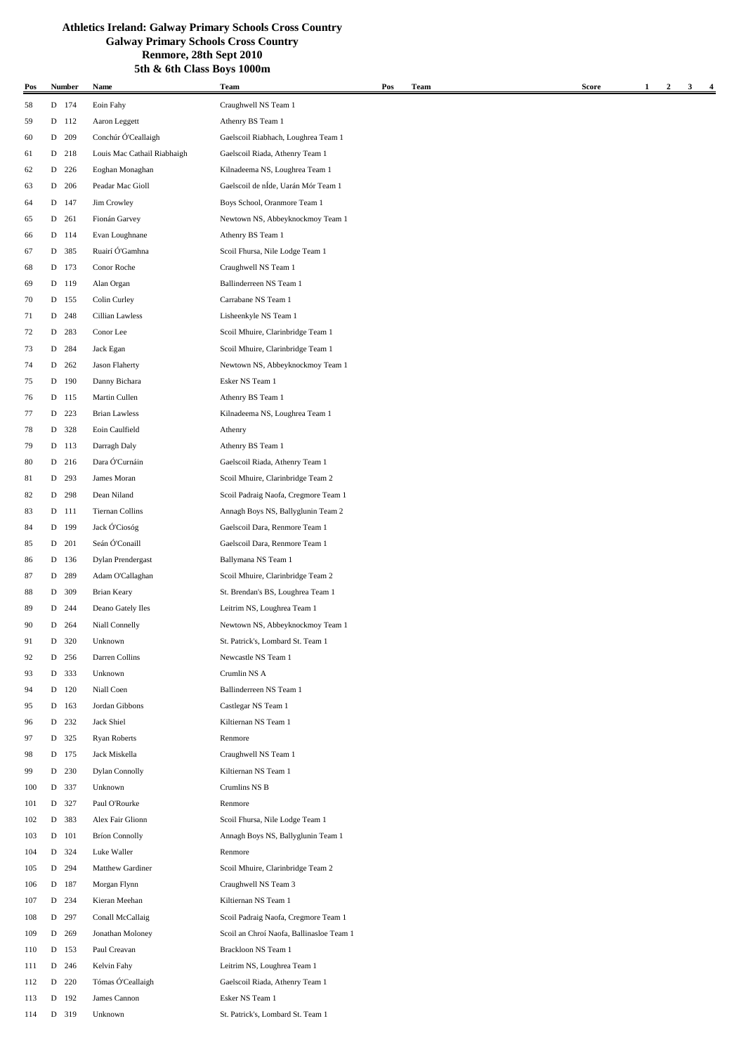| Pos |   | <b>Number</b> | Name                        | Team                                     | Pos | <b>Team</b> | <b>Score</b> | 1 | $\boldsymbol{2}$ | 3 | $\overline{\mathbf{4}}$ |
|-----|---|---------------|-----------------------------|------------------------------------------|-----|-------------|--------------|---|------------------|---|-------------------------|
| 58  |   | D 174         | Eoin Fahy                   | Craughwell NS Team 1                     |     |             |              |   |                  |   |                         |
| 59  |   | D 112         | Aaron Leggett               | Athenry BS Team 1                        |     |             |              |   |                  |   |                         |
| 60  |   | D 209         | Conchúr Ó'Ceallaigh         | Gaelscoil Riabhach, Loughrea Team 1      |     |             |              |   |                  |   |                         |
| 61  |   | D 218         | Louis Mac Cathail Riabhaigh | Gaelscoil Riada, Athenry Team 1          |     |             |              |   |                  |   |                         |
| 62  |   | D 226         | Eoghan Monaghan             | Kilnadeema NS, Loughrea Team 1           |     |             |              |   |                  |   |                         |
| 63  |   | D 206         | Peadar Mac Gioll            | Gaelscoil de nÍde, Uarán Mór Team 1      |     |             |              |   |                  |   |                         |
| 64  |   | D 147         | Jim Crowley                 | Boys School, Oranmore Team 1             |     |             |              |   |                  |   |                         |
| 65  |   | D 261         | Fionán Garvey               | Newtown NS, Abbeyknockmoy Team 1         |     |             |              |   |                  |   |                         |
| 66  |   | D 114         | Evan Loughnane              | Athenry BS Team 1                        |     |             |              |   |                  |   |                         |
| 67  |   | D 385         | Ruairí Ó'Gamhna             | Scoil Fhursa, Nile Lodge Team 1          |     |             |              |   |                  |   |                         |
| 68  |   | D 173         | Conor Roche                 | Craughwell NS Team 1                     |     |             |              |   |                  |   |                         |
| 69  |   | D 119         | Alan Organ                  | Ballinderreen NS Team 1                  |     |             |              |   |                  |   |                         |
| 70  |   | D 155         | Colin Curley                | Carrabane NS Team 1                      |     |             |              |   |                  |   |                         |
| 71  |   | D 248         | Cillian Lawless             | Lisheenkyle NS Team 1                    |     |             |              |   |                  |   |                         |
| 72  |   | D 283         | Conor Lee                   | Scoil Mhuire, Clarinbridge Team 1        |     |             |              |   |                  |   |                         |
|     |   |               |                             |                                          |     |             |              |   |                  |   |                         |
| 73  |   | D 284         | Jack Egan                   | Scoil Mhuire, Clarinbridge Team 1        |     |             |              |   |                  |   |                         |
| 74  | D | 262           | Jason Flaherty              | Newtown NS, Abbeyknockmoy Team 1         |     |             |              |   |                  |   |                         |
| 75  |   | D 190         | Danny Bichara               | Esker NS Team 1                          |     |             |              |   |                  |   |                         |
| 76  |   | D 115         | Martin Cullen               | Athenry BS Team 1                        |     |             |              |   |                  |   |                         |
| 77  |   | D 223         | <b>Brian Lawless</b>        | Kilnadeema NS, Loughrea Team 1           |     |             |              |   |                  |   |                         |
| 78  |   | D 328         | Eoin Caulfield              | Athenry                                  |     |             |              |   |                  |   |                         |
| 79  |   | D 113         | Darragh Daly                | Athenry BS Team 1                        |     |             |              |   |                  |   |                         |
| 80  |   | D 216         | Dara Ó'Curnáin              | Gaelscoil Riada, Athenry Team 1          |     |             |              |   |                  |   |                         |
| 81  |   | D 293         | James Moran                 | Scoil Mhuire, Clarinbridge Team 2        |     |             |              |   |                  |   |                         |
| 82  |   | D 298         | Dean Niland                 | Scoil Padraig Naofa, Cregmore Team 1     |     |             |              |   |                  |   |                         |
| 83  |   | D 111         | Tiernan Collins             | Annagh Boys NS, Ballyglunin Team 2       |     |             |              |   |                  |   |                         |
| 84  |   | D 199         | Jack Ó'Ciosóg               | Gaelscoil Dara, Renmore Team 1           |     |             |              |   |                  |   |                         |
| 85  |   | D 201         | Seán Ó'Conaill              | Gaelscoil Dara, Renmore Team 1           |     |             |              |   |                  |   |                         |
| 86  |   | D 136         | Dylan Prendergast           | Ballymana NS Team 1                      |     |             |              |   |                  |   |                         |
| 87  |   | D 289         | Adam O'Callaghan            | Scoil Mhuire, Clarinbridge Team 2        |     |             |              |   |                  |   |                         |
| 88  |   | D 309         | <b>Brian Keary</b>          | St. Brendan's BS, Loughrea Team 1        |     |             |              |   |                  |   |                         |
| 89  |   | D 244         | Deano Gately Iles           | Leitrim NS, Loughrea Team 1              |     |             |              |   |                  |   |                         |
| 90  |   | D 264         | Niall Connelly              | Newtown NS, Abbeyknockmoy Team 1         |     |             |              |   |                  |   |                         |
| 91  |   | D 320         | Unknown                     | St. Patrick's, Lombard St. Team 1        |     |             |              |   |                  |   |                         |
| 92  |   | D 256         | Darren Collins              | Newcastle NS Team 1                      |     |             |              |   |                  |   |                         |
| 93  |   | D 333         | Unknown                     | Crumlin NS A                             |     |             |              |   |                  |   |                         |
| 94  |   | D 120         | Niall Coen                  | Ballinderreen NS Team 1                  |     |             |              |   |                  |   |                         |
| 95  |   | D 163         | Jordan Gibbons              | Castlegar NS Team 1                      |     |             |              |   |                  |   |                         |
| 96  |   | D 232         | Jack Shiel                  | Kiltiernan NS Team 1                     |     |             |              |   |                  |   |                         |
| 97  |   | D 325         | <b>Ryan Roberts</b>         | Renmore                                  |     |             |              |   |                  |   |                         |
| 98  |   | D 175         | Jack Miskella               | Craughwell NS Team 1                     |     |             |              |   |                  |   |                         |
| 99  |   | D 230         | <b>Dylan Connolly</b>       | Kiltiernan NS Team 1                     |     |             |              |   |                  |   |                         |
| 100 |   | D 337         | Unknown                     | Crumlins NS B                            |     |             |              |   |                  |   |                         |
| 101 |   | D 327         | Paul O'Rourke               | Renmore                                  |     |             |              |   |                  |   |                         |
| 102 |   | D 383         | Alex Fair Glionn            | Scoil Fhursa, Nile Lodge Team 1          |     |             |              |   |                  |   |                         |
| 103 |   | D 101         | <b>Bríon Connolly</b>       | Annagh Boys NS, Ballyglunin Team 1       |     |             |              |   |                  |   |                         |
| 104 |   | D 324         | Luke Waller                 | Renmore                                  |     |             |              |   |                  |   |                         |
| 105 | D | 294           | Matthew Gardiner            | Scoil Mhuire, Clarinbridge Team 2        |     |             |              |   |                  |   |                         |
| 106 |   | D 187         | Morgan Flynn                | Craughwell NS Team 3                     |     |             |              |   |                  |   |                         |
| 107 |   | D 234         | Kieran Meehan               | Kiltiernan NS Team 1                     |     |             |              |   |                  |   |                         |
| 108 |   | D 297         | Conall McCallaig            | Scoil Padraig Naofa, Cregmore Team 1     |     |             |              |   |                  |   |                         |
| 109 |   | D 269         | Jonathan Moloney            | Scoil an Chroí Naofa, Ballinasloe Team 1 |     |             |              |   |                  |   |                         |
|     |   | D 153         | Paul Creavan                | Brackloon NS Team 1                      |     |             |              |   |                  |   |                         |
| 110 |   |               |                             |                                          |     |             |              |   |                  |   |                         |
| 111 | D | 246           | Kelvin Fahy                 | Leitrim NS, Loughrea Team 1              |     |             |              |   |                  |   |                         |
| 112 | D | 220           | Tómas Ó'Ceallaigh           | Gaelscoil Riada, Athenry Team 1          |     |             |              |   |                  |   |                         |
| 113 | D | 192           | James Cannon                | Esker NS Team 1                          |     |             |              |   |                  |   |                         |
| 114 |   | D 319         | Unknown                     | St. Patrick's, Lombard St. Team 1        |     |             |              |   |                  |   |                         |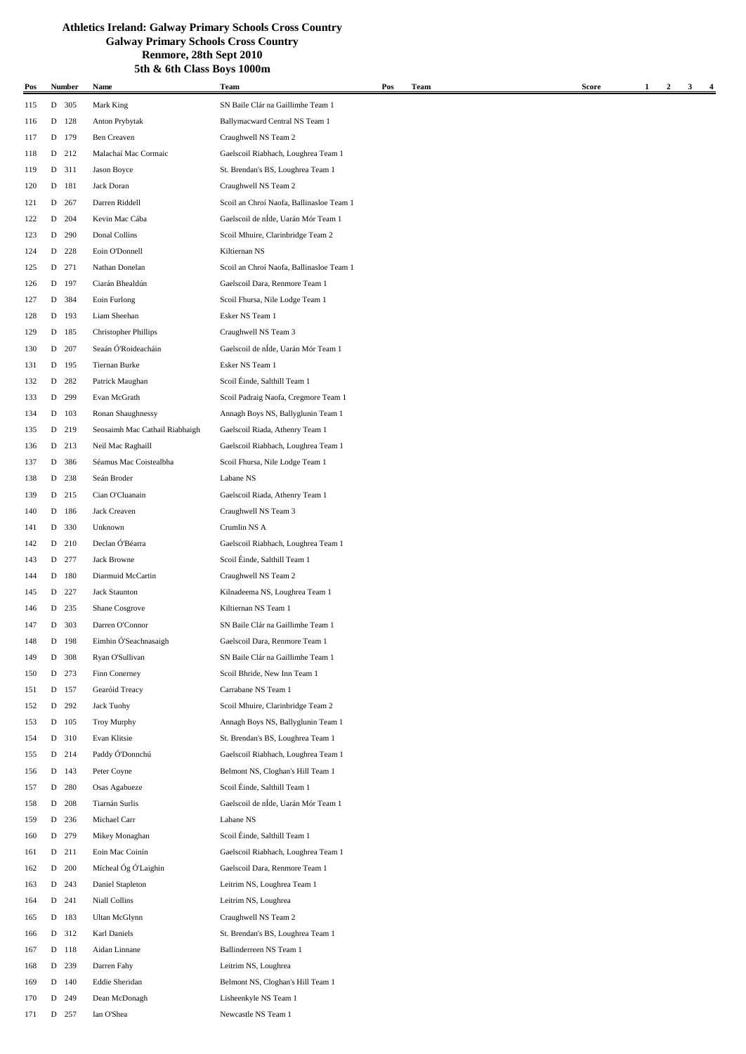| Pos        |   | Number | Name                           | Team                                     | Pos | <b>Team</b> | <b>Score</b> | $\mathbf{1}$ | $\overline{2}$ | 3<br>4 |
|------------|---|--------|--------------------------------|------------------------------------------|-----|-------------|--------------|--------------|----------------|--------|
| 115        |   | D 305  | Mark King                      | SN Baile Clár na Gaillimhe Team 1        |     |             |              |              |                |        |
| 116        |   | D 128  | Anton Prybytak                 | Ballymacward Central NS Team 1           |     |             |              |              |                |        |
| 117        |   | D 179  | Ben Creaven                    | Craughwell NS Team 2                     |     |             |              |              |                |        |
| 118        |   | D 212  | Malachaí Mac Cormaic           | Gaelscoil Riabhach, Loughrea Team 1      |     |             |              |              |                |        |
| 119        |   | D 311  | Jason Boyce                    | St. Brendan's BS, Loughrea Team 1        |     |             |              |              |                |        |
| 120        |   | D 181  | Jack Doran                     | Craughwell NS Team 2                     |     |             |              |              |                |        |
| 121        | D | 267    | Darren Riddell                 | Scoil an Chroí Naofa, Ballinasloe Team 1 |     |             |              |              |                |        |
| 122        | D | 204    | Kevin Mac Cába                 | Gaelscoil de nÍde, Uarán Mór Team 1      |     |             |              |              |                |        |
| 123        |   | D 290  | Donal Collins                  | Scoil Mhuire, Clarinbridge Team 2        |     |             |              |              |                |        |
| 124        | D | 228    | Eoin O'Donnell                 | Kiltiernan NS                            |     |             |              |              |                |        |
| 125        | D | 271    | Nathan Donelan                 | Scoil an Chroí Naofa, Ballinasloe Team 1 |     |             |              |              |                |        |
| 126        |   | D 197  | Ciarán Bhealdún                | Gaelscoil Dara, Renmore Team 1           |     |             |              |              |                |        |
| 127        | D | 384    | Eoin Furlong                   | Scoil Fhursa, Nile Lodge Team 1          |     |             |              |              |                |        |
|            |   | D 193  | Liam Sheehan                   | Esker NS Team 1                          |     |             |              |              |                |        |
| 128        |   | D 185  | <b>Christopher Phillips</b>    | Craughwell NS Team 3                     |     |             |              |              |                |        |
| 129        |   |        | Seaán Ó'Roideacháin            |                                          |     |             |              |              |                |        |
| 130        |   | D 207  |                                | Gaelscoil de nÍde, Uarán Mór Team 1      |     |             |              |              |                |        |
| 131        | D | 195    | Tiernan Burke                  | Esker NS Team 1                          |     |             |              |              |                |        |
| 132        | D | 282    | Patrick Maughan                | Scoil Éinde, Salthill Team 1             |     |             |              |              |                |        |
| 133        | D | 299    | Evan McGrath                   | Scoil Padraig Naofa, Cregmore Team 1     |     |             |              |              |                |        |
| 134        | D | 103    | Ronan Shaughnessy              | Annagh Boys NS, Ballyglunin Team 1       |     |             |              |              |                |        |
| 135        |   | D 219  | Seosaimh Mac Cathail Riabhaigh | Gaelscoil Riada, Athenry Team 1          |     |             |              |              |                |        |
| 136        |   | D 213  | Neil Mac Raghaill              | Gaelscoil Riabhach, Loughrea Team 1      |     |             |              |              |                |        |
| 137        | D | 386    | Séamus Mac Coistealbha         | Scoil Fhursa, Nile Lodge Team 1          |     |             |              |              |                |        |
| 138        | D | 238    | Seán Broder                    | Labane NS                                |     |             |              |              |                |        |
| 139        |   | D 215  | Cian O'Cluanain                | Gaelscoil Riada, Athenry Team 1          |     |             |              |              |                |        |
| 140        | D | 186    | Jack Creaven                   | Craughwell NS Team 3                     |     |             |              |              |                |        |
| 141        |   | D 330  | Unknown                        | Crumlin NS A                             |     |             |              |              |                |        |
| 142        |   | D 210  | Declan Ó'Béarra                | Gaelscoil Riabhach, Loughrea Team 1      |     |             |              |              |                |        |
| 143        |   | D 277  | Jack Browne                    | Scoil Éinde, Salthill Team 1             |     |             |              |              |                |        |
| 144        | D | 180    | Diarmuid McCartin              | Craughwell NS Team 2                     |     |             |              |              |                |        |
| 145        | D | 227    | <b>Jack Staunton</b>           | Kilnadeema NS, Loughrea Team 1           |     |             |              |              |                |        |
| 146        | D | 235    | Shane Cosgrove                 | Kiltiernan NS Team 1                     |     |             |              |              |                |        |
| 147        | D | 303    | Darren O'Connor                | SN Baile Clár na Gaillimhe Team 1        |     |             |              |              |                |        |
| 148        | D | 198    | Eimhin Ó'Seachnasaigh          | Gaelscoil Dara, Renmore Team 1           |     |             |              |              |                |        |
| 149        |   | D 308  | Ryan O'Sullivan                | SN Baile Clár na Gaillimhe Team 1        |     |             |              |              |                |        |
| 150        | D | 273    | Finn Conerney                  | Scoil Bhride, New Inn Team 1             |     |             |              |              |                |        |
| 151        |   | D 157  | Gearóid Treacy                 | Carrabane NS Team 1                      |     |             |              |              |                |        |
| 152        | D | 292    | Jack Tuohy                     | Scoil Mhuire, Clarinbridge Team 2        |     |             |              |              |                |        |
| 153        |   | D 105  | <b>Troy Murphy</b>             | Annagh Boys NS, Ballyglunin Team 1       |     |             |              |              |                |        |
| 154        |   | D 310  | Evan Klitsie                   | St. Brendan's BS, Loughrea Team 1        |     |             |              |              |                |        |
| 155        |   | D 214  | Paddy Ó'Donnchú                | Gaelscoil Riabhach, Loughrea Team 1      |     |             |              |              |                |        |
| 156        |   | D 143  | Peter Coyne                    | Belmont NS, Cloghan's Hill Team 1        |     |             |              |              |                |        |
| 157        | D | 280    | Osas Agabueze                  | Scoil Éinde, Salthill Team 1             |     |             |              |              |                |        |
| 158        | D | 208    | Tiarnán Surlis                 | Gaelscoil de nÍde, Uarán Mór Team 1      |     |             |              |              |                |        |
| 159        | D | 236    | Michael Carr                   | Labane NS                                |     |             |              |              |                |        |
| 160        |   | D 279  | Mikey Monaghan                 | Scoil Éinde, Salthill Team 1             |     |             |              |              |                |        |
| 161        |   | D 211  | Eoin Mac Coinín                | Gaelscoil Riabhach, Loughrea Team 1      |     |             |              |              |                |        |
| 162        |   | D 200  | Mícheal Óg Ó'Laighin           | Gaelscoil Dara, Renmore Team 1           |     |             |              |              |                |        |
| 163        |   | D 243  | Daniel Stapleton               | Leitrim NS, Loughrea Team 1              |     |             |              |              |                |        |
| 164        |   | D 241  | Niall Collins                  | Leitrim NS, Loughrea                     |     |             |              |              |                |        |
| 165        | D | 183    | <b>Ultan McGlynn</b>           | Craughwell NS Team 2                     |     |             |              |              |                |        |
| 166        |   | D 312  | Karl Daniels                   | St. Brendan's BS, Loughrea Team 1        |     |             |              |              |                |        |
|            |   | D 118  | Aidan Linnane                  | Ballinderreen NS Team 1                  |     |             |              |              |                |        |
| 167<br>168 |   | D 239  | Darren Fahy                    | Leitrim NS, Loughrea                     |     |             |              |              |                |        |
|            |   | D 140  | Eddie Sheridan                 |                                          |     |             |              |              |                |        |
| 169        |   |        |                                | Belmont NS, Cloghan's Hill Team 1        |     |             |              |              |                |        |
| 170        | D | 249    | Dean McDonagh                  | Lisheenkyle NS Team 1                    |     |             |              |              |                |        |
| 171        |   | D 257  | Ian O'Shea                     | Newcastle NS Team 1                      |     |             |              |              |                |        |